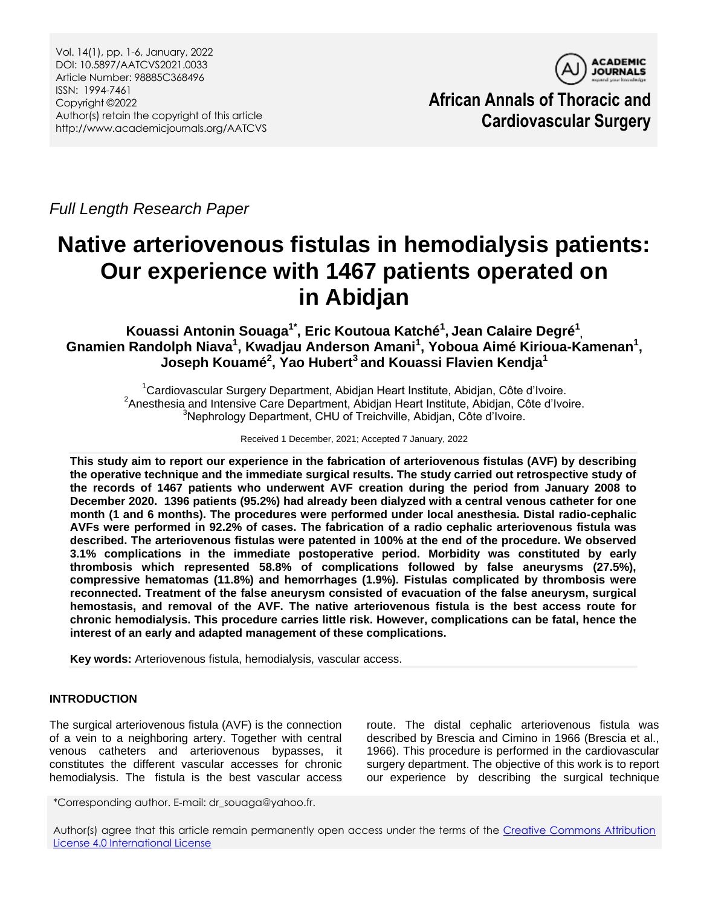

**African Annals of Thoracic and Cardiovascular Surgery**

*Full Length Research Paper*

## **Native arteriovenous fistulas in hemodialysis patients: Our experience with 1467 patients operated on in Abidjan**

**Kouassi Antonin Souaga1\* , Eric Koutoua Katché<sup>1</sup> , Jean Calaire Degré<sup>1</sup> ,** Gnamien Randolph Niava<sup>1</sup>, Kwadjau Anderson Amani<sup>1</sup>, Yoboua Aimé Kirioua-Kamenan<sup>1</sup>, **Joseph Kouamé<sup>2</sup> , Yao Hubert<sup>3</sup> and Kouassi Flavien Kendja<sup>1</sup>**

<sup>1</sup>Cardiovascular Surgery Department, Abidjan Heart Institute, Abidjan, Côte d'Ivoire. <sup>2</sup> Anesthesia and Intensive Care Department, Abidjan Heart Institute, Abidjan, Côte d'Ivoire. <sup>3</sup>Nephrology Department, CHU of Treichville, Abidjan, Côte d'Ivoire.

Received 1 December, 2021; Accepted 7 January, 2022

**This study aim to report our experience in the fabrication of arteriovenous fistulas (AVF) by describing the operative technique and the immediate surgical results. The study carried out retrospective study of the records of 1467 patients who underwent AVF creation during the period from January 2008 to December 2020. 1396 patients (95.2%) had already been dialyzed with a central venous catheter for one month (1 and 6 months). The procedures were performed under local anesthesia. Distal radio-cephalic AVFs were performed in 92.2% of cases. The fabrication of a radio cephalic arteriovenous fistula was described. The arteriovenous fistulas were patented in 100% at the end of the procedure. We observed 3.1% complications in the immediate postoperative period. Morbidity was constituted by early thrombosis which represented 58.8% of complications followed by false aneurysms (27.5%), compressive hematomas (11.8%) and hemorrhages (1.9%). Fistulas complicated by thrombosis were reconnected. Treatment of the false aneurysm consisted of evacuation of the false aneurysm, surgical hemostasis, and removal of the AVF. The native arteriovenous fistula is the best access route for chronic hemodialysis. This procedure carries little risk. However, complications can be fatal, hence the interest of an early and adapted management of these complications.** 

**Key words:** Arteriovenous fistula, hemodialysis, vascular access.

### **INTRODUCTION**

The surgical arteriovenous fistula (AVF) is the connection of a vein to a neighboring artery. Together with central venous catheters and arteriovenous bypasses, it constitutes the different vascular accesses for chronic hemodialysis. The fistula is the best vascular access

route. The distal cephalic arteriovenous fistula was described by Brescia and Cimino in 1966 (Brescia et al., 1966). This procedure is performed in the cardiovascular surgery department. The objective of this work is to report our experience by describing the surgical technique

\*Corresponding author. E-mail: dr\_souaga@yahoo.fr.

Author(s) agree that this article remain permanently open access under the terms of the Creative Commons Attribution [License 4.0 International License](http://creativecommons.org/licenses/by/4.0/deed.en_US)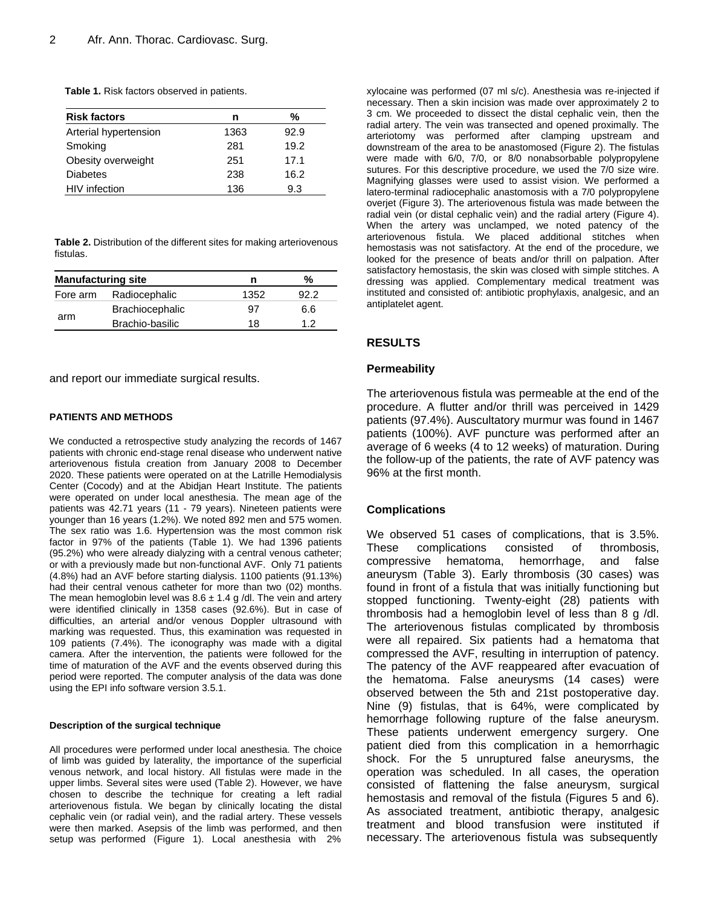| <b>Risk factors</b>   | n    | %    |
|-----------------------|------|------|
| Arterial hypertension | 1363 | 92.9 |
| Smoking               | 281  | 19.2 |
| Obesity overweight    | 251  | 17.1 |
| <b>Diabetes</b>       | 238  | 16.2 |
| HIV infection         | 136  | 9.3  |

**Table 2.** Distribution of the different sites for making arteriovenous fistulas.

| <b>Manufacturing site</b> |                        | n    | %    |
|---------------------------|------------------------|------|------|
| Fore arm                  | Radiocephalic          | 1352 | 92 Z |
| arm                       | <b>Brachiocephalic</b> | 97   | 6.6  |
|                           | Brachio-basilic        | 18   | 12   |

and report our immediate surgical results.

### **PATIENTS AND METHODS**

We conducted a retrospective study analyzing the records of 1467 patients with chronic end-stage renal disease who underwent native arteriovenous fistula creation from January 2008 to December 2020. These patients were operated on at the Latrille Hemodialysis Center (Cocody) and at the Abidjan Heart Institute. The patients were operated on under local anesthesia. The mean age of the patients was 42.71 years (11 - 79 years). Nineteen patients were younger than 16 years (1.2%). We noted 892 men and 575 women. The sex ratio was 1.6. Hypertension was the most common risk factor in 97% of the patients (Table 1). We had 1396 patients (95.2%) who were already dialyzing with a central venous catheter; or with a previously made but non-functional AVF. Only 71 patients (4.8%) had an AVF before starting dialysis. 1100 patients (91.13%) had their central venous catheter for more than two (02) months. The mean hemoglobin level was  $8.6 \pm 1.4$  g /dl. The vein and artery were identified clinically in 1358 cases (92.6%). But in case of difficulties, an arterial and/or venous Doppler ultrasound with marking was requested. Thus, this examination was requested in 109 patients (7.4%). The iconography was made with a digital camera. After the intervention, the patients were followed for the time of maturation of the AVF and the events observed during this period were reported. The computer analysis of the data was done using the EPI info software version 3.5.1.

### **Description of the surgical technique**

All procedures were performed under local anesthesia. The choice of limb was guided by laterality, the importance of the superficial venous network, and local history. All fistulas were made in the upper limbs. Several sites were used (Table 2). However, we have chosen to describe the technique for creating a left radial arteriovenous fistula. We began by clinically locating the distal cephalic vein (or radial vein), and the radial artery. These vessels were then marked. Asepsis of the limb was performed, and then setup was performed (Figure 1). Local anesthesia with 2% xylocaine was performed (07 ml s/c). Anesthesia was re-injected if necessary. Then a skin incision was made over approximately 2 to 3 cm. We proceeded to dissect the distal cephalic vein, then the radial artery. The vein was transected and opened proximally. The arteriotomy was performed after clamping upstream and downstream of the area to be anastomosed (Figure 2). The fistulas were made with 6/0, 7/0, or 8/0 nonabsorbable polypropylene sutures. For this descriptive procedure, we used the 7/0 size wire. Magnifying glasses were used to assist vision. We performed a latero-terminal radiocephalic anastomosis with a 7/0 polypropylene overjet (Figure 3). The arteriovenous fistula was made between the radial vein (or distal cephalic vein) and the radial artery (Figure 4). When the artery was unclamped, we noted patency of the arteriovenous fistula. We placed additional stitches when hemostasis was not satisfactory. At the end of the procedure, we looked for the presence of beats and/or thrill on palpation. After satisfactory hemostasis, the skin was closed with simple stitches. A dressing was applied. Complementary medical treatment was instituted and consisted of: antibiotic prophylaxis, analgesic, and an antiplatelet agent.

### **RESULTS**

### **Permeability**

The arteriovenous fistula was permeable at the end of the procedure. A flutter and/or thrill was perceived in 1429 patients (97.4%). Auscultatory murmur was found in 1467 patients (100%). AVF puncture was performed after an average of 6 weeks (4 to 12 weeks) of maturation. During the follow-up of the patients, the rate of AVF patency was 96% at the first month.

### **Complications**

We observed 51 cases of complications, that is 3.5%. These complications consisted of thrombosis, compressive hematoma, hemorrhage, and false aneurysm (Table 3). Early thrombosis (30 cases) was found in front of a fistula that was initially functioning but stopped functioning. Twenty-eight (28) patients with thrombosis had a hemoglobin level of less than 8 g /dl. The arteriovenous fistulas complicated by thrombosis were all repaired. Six patients had a hematoma that compressed the AVF, resulting in interruption of patency. The patency of the AVF reappeared after evacuation of the hematoma. False aneurysms (14 cases) were observed between the 5th and 21st postoperative day. Nine (9) fistulas, that is 64%, were complicated by hemorrhage following rupture of the false aneurysm. These patients underwent emergency surgery. One patient died from this complication in a hemorrhagic shock. For the 5 unruptured false aneurysms, the operation was scheduled. In all cases, the operation consisted of flattening the false aneurysm, surgical hemostasis and removal of the fistula (Figures 5 and 6). As associated treatment, antibiotic therapy, analgesic treatment and blood transfusion were instituted if necessary. The arteriovenous fistula was subsequently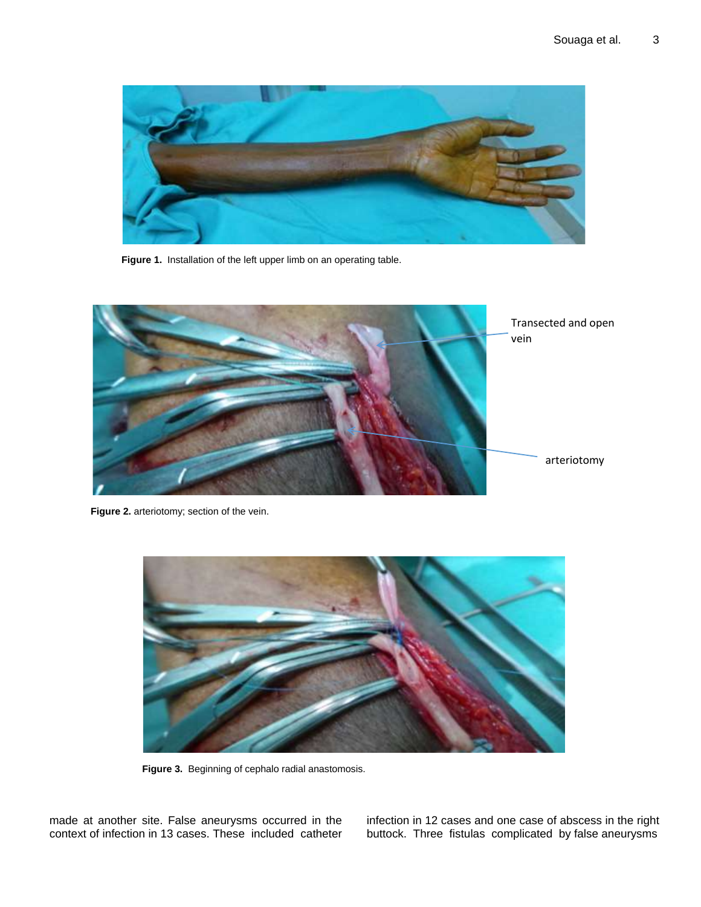

**Figure 1.** Installation of the left upper limb on an operating table.



**Figure 2.** arteriotomy; section of the vein.



Figure 3. Beginning of cephalo radial anastomosis.

made at another site. False aneurysms occurred in the context of infection in 13 cases. These included catheter infection in 12 cases and one case of abscess in the right buttock. Three fistulas complicated by false aneurysms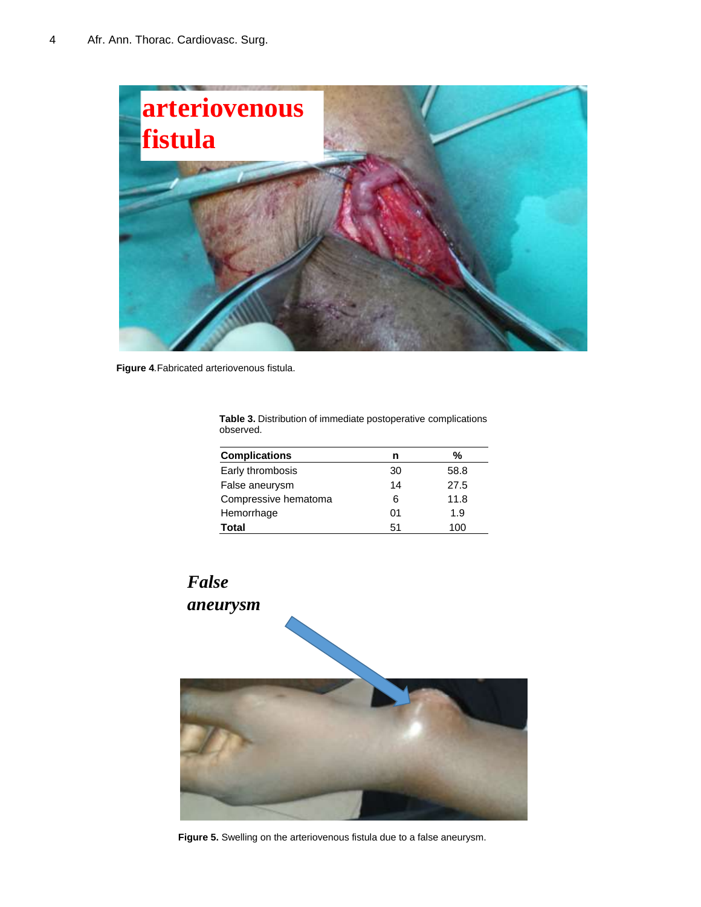

**Figure 4***.*Fabricated arteriovenous fistula.

| uuselveu.            |    |      |  |  |
|----------------------|----|------|--|--|
| <b>Complications</b> | n  | %    |  |  |
| Early thrombosis     | 30 | 58.8 |  |  |
| False aneurysm       | 14 | 27.5 |  |  |
| Compressive hematoma | 6  | 11.8 |  |  |
| Hemorrhage           | 01 | 1.9  |  |  |
| Total                | 51 | 100  |  |  |

**Table 3.** Distribution of immediate postoperative complications observed.

### *False aneurysm*

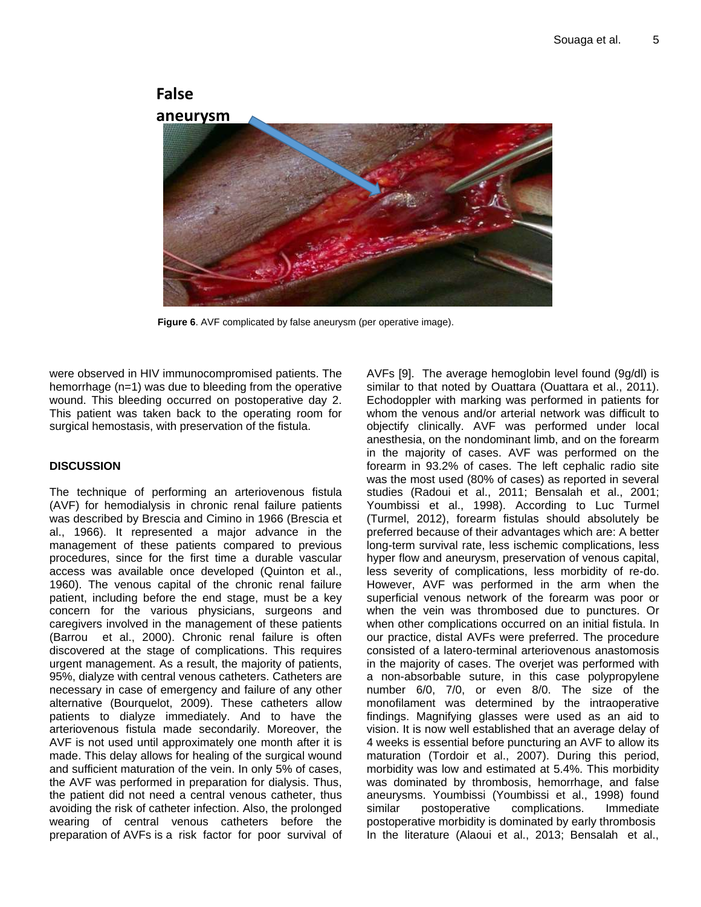# **False**



**Figure 6**. AVF complicated by false aneurysm (per operative image).

were observed in HIV immunocompromised patients. The hemorrhage (n=1) was due to bleeding from the operative wound. This bleeding occurred on postoperative day 2. This patient was taken back to the operating room for surgical hemostasis, with preservation of the fistula.

### **DISCUSSION**

The technique of performing an arteriovenous fistula (AVF) for hemodialysis in chronic renal failure patients was described by Brescia and Cimino in 1966 (Brescia et al., 1966). It represented a major advance in the management of these patients compared to previous procedures, since for the first time a durable vascular access was available once developed (Quinton et al., 1960). The venous capital of the chronic renal failure patient, including before the end stage, must be a key concern for the various physicians, surgeons and caregivers involved in the management of these patients (Barrou et al., 2000). Chronic renal failure is often discovered at the stage of complications. This requires urgent management. As a result, the majority of patients, 95%, dialyze with central venous catheters. Catheters are necessary in case of emergency and failure of any other alternative (Bourquelot, 2009). These catheters allow patients to dialyze immediately. And to have the arteriovenous fistula made secondarily. Moreover, the AVF is not used until approximately one month after it is made. This delay allows for healing of the surgical wound and sufficient maturation of the vein. In only 5% of cases, the AVF was performed in preparation for dialysis. Thus, the patient did not need a central venous catheter, thus avoiding the risk of catheter infection. Also, the prolonged wearing of central venous catheters before the preparation of AVFs is a risk factor for poor survival of AVFs [9]. The average hemoglobin level found (9g/dl) is similar to that noted by Ouattara (Ouattara et al., 2011). Echodoppler with marking was performed in patients for whom the venous and/or arterial network was difficult to objectify clinically. AVF was performed under local anesthesia, on the nondominant limb, and on the forearm in the majority of cases. AVF was performed on the forearm in 93.2% of cases. The left cephalic radio site was the most used (80% of cases) as reported in several studies (Radoui et al., 2011; Bensalah et al., 2001; Youmbissi et al., 1998). According to Luc Turmel (Turmel, 2012), forearm fistulas should absolutely be preferred because of their advantages which are: A better long-term survival rate, less ischemic complications, less hyper flow and aneurysm, preservation of venous capital, less severity of complications, less morbidity of re-do. However, AVF was performed in the arm when the superficial venous network of the forearm was poor or when the vein was thrombosed due to punctures. Or when other complications occurred on an initial fistula. In our practice, distal AVFs were preferred. The procedure consisted of a latero-terminal arteriovenous anastomosis in the majority of cases. The overjet was performed with a non-absorbable suture, in this case polypropylene number 6/0, 7/0, or even 8/0. The size of the monofilament was determined by the intraoperative findings. Magnifying glasses were used as an aid to vision. It is now well established that an average delay of 4 weeks is essential before puncturing an AVF to allow its maturation (Tordoir et al., 2007). During this period, morbidity was low and estimated at 5.4%. This morbidity was dominated by thrombosis, hemorrhage, and false aneurysms. Youmbissi (Youmbissi et al., 1998) found similar postoperative complications. Immediate postoperative morbidity is dominated by early thrombosis In the literature (Alaoui et al., 2013; Bensalah et al.,